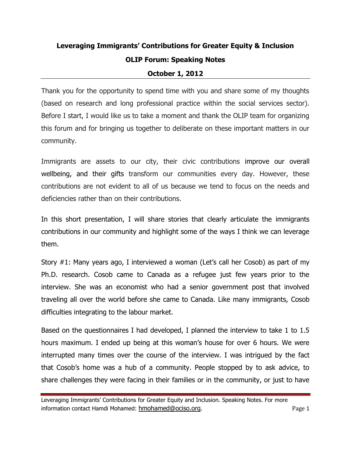## **Leveraging Immigrants' Contributions for Greater Equity & Inclusion OLIP Forum: Speaking Notes October 1, 2012**

Thank you for the opportunity to spend time with you and share some of my thoughts (based on research and long professional practice within the social services sector). Before I start, I would like us to take a moment and thank the OLIP team for organizing this forum and for bringing us together to deliberate on these important matters in our community.

Immigrants are assets to our city, their civic contributions improve our overall wellbeing, and their gifts transform our communities every day. However, these contributions are not evident to all of us because we tend to focus on the needs and deficiencies rather than on their contributions.

In this short presentation, I will share stories that clearly articulate the immigrants contributions in our community and highlight some of the ways I think we can leverage them.

Story #1: Many years ago, I interviewed a woman (Let's call her Cosob) as part of my Ph.D. research. Cosob came to Canada as a refugee just few years prior to the interview. She was an economist who had a senior government post that involved traveling all over the world before she came to Canada. Like many immigrants, Cosob difficulties integrating to the labour market.

Based on the questionnaires I had developed, I planned the interview to take 1 to 1.5 hours maximum. I ended up being at this woman's house for over 6 hours. We were interrupted many times over the course of the interview. I was intrigued by the fact that Cosob's home was a hub of a community. People stopped by to ask advice, to share challenges they were facing in their families or in the community, or just to have

Leveraging Immigrants' Contributions for Greater Equity and Inclusion. Speaking Notes. For more information contact Hamdi Mohamed: hmohamed@ociso.org. example a second page 1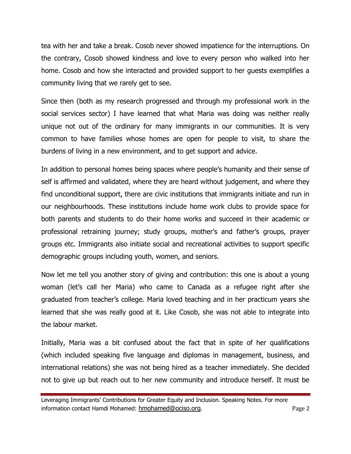tea with her and take a break. Cosob never showed impatience for the interruptions. On the contrary, Cosob showed kindness and love to every person who walked into her home. Cosob and how she interacted and provided support to her guests exemplifies a community living that we rarely get to see.

Since then (both as my research progressed and through my professional work in the social services sector) I have learned that what Maria was doing was neither really unique not out of the ordinary for many immigrants in our communities. It is very common to have families whose homes are open for people to visit, to share the burdens of living in a new environment, and to get support and advice.

In addition to personal homes being spaces where people's humanity and their sense of self is affirmed and validated, where they are heard without judgement, and where they find unconditional support, there are civic institutions that immigrants initiate and run in our neighbourhoods. These institutions include home work clubs to provide space for both parents and students to do their home works and succeed in their academic or professional retraining journey; study groups, mother's and father's groups, prayer groups etc. Immigrants also initiate social and recreational activities to support specific demographic groups including youth, women, and seniors.

Now let me tell you another story of giving and contribution: this one is about a young woman (let's call her Maria) who came to Canada as a refugee right after she graduated from teacher's college. Maria loved teaching and in her practicum years she learned that she was really good at it. Like Cosob, she was not able to integrate into the labour market.

Initially, Maria was a bit confused about the fact that in spite of her qualifications (which included speaking five language and diplomas in management, business, and international relations) she was not being hired as a teacher immediately. She decided not to give up but reach out to her new community and introduce herself. It must be

Leveraging Immigrants' Contributions for Greater Equity and Inclusion. Speaking Notes. For more information contact Hamdi Mohamed: hmohamed@ociso.org. example a series are a series a page 2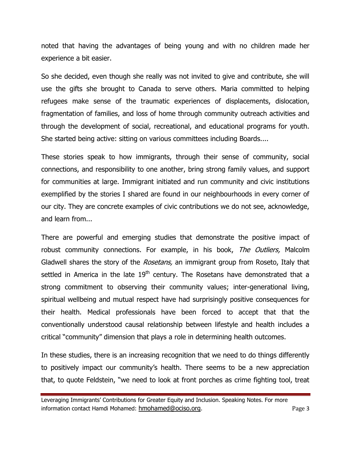noted that having the advantages of being young and with no children made her experience a bit easier.

So she decided, even though she really was not invited to give and contribute, she will use the gifts she brought to Canada to serve others. Maria committed to helping refugees make sense of the traumatic experiences of displacements, dislocation, fragmentation of families, and loss of home through community outreach activities and through the development of social, recreational, and educational programs for youth. She started being active: sitting on various committees including Boards....

These stories speak to how immigrants, through their sense of community, social connections, and responsibility to one another, bring strong family values, and support for communities at large. Immigrant initiated and run community and civic institutions exemplified by the stories I shared are found in our neighbourhoods in every corner of our city. They are concrete examples of civic contributions we do not see, acknowledge, and learn from...

There are powerful and emerging studies that demonstrate the positive impact of robust community connections. For example, in his book, The Outliers, Malcolm Gladwell shares the story of the Rosetans, an immigrant group from Roseto, Italy that settled in America in the late  $19<sup>th</sup>$  century. The Rosetans have demonstrated that a strong commitment to observing their community values; inter-generational living, spiritual wellbeing and mutual respect have had surprisingly positive consequences for their health. Medical professionals have been forced to accept that that the conventionally understood causal relationship between lifestyle and health includes a critical "community" dimension that plays a role in determining health outcomes.

In these studies, there is an increasing recognition that we need to do things differently to positively impact our community's health. There seems to be a new appreciation that, to quote Feldstein, "we need to look at front porches as crime fighting tool, treat

Leveraging Immigrants' Contributions for Greater Equity and Inclusion. Speaking Notes. For more information contact Hamdi Mohamed: hmohamed@ociso.org. example a series are sensitive page 3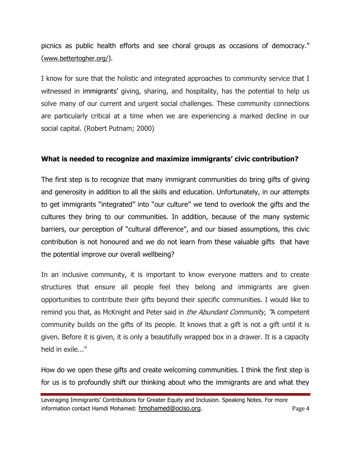picnics as public health efforts and see choral groups as occasions of democracy." ([www.bettertogher.org/](http://www.bettertogher.org/)).

I know for sure that the holistic and integrated approaches to community service that I witnessed in immigrants' giving, sharing, and hospitality, has the potential to help us solve many of our current and urgent social challenges. These community connections are particularly critical at a time when we are experiencing a marked decline in our social capital. (Robert Putnam; 2000)

## **What is needed to recognize and maximize immigrants' civic contribution?**

The first step is to recognize that many immigrant communities do bring gifts of giving and generosity in addition to all the skills and education. Unfortunately, in our attempts to get immigrants "integrated" into "our culture" we tend to overlook the gifts and the cultures they bring to our communities. In addition, because of the many systemic barriers, our perception of "cultural difference", and our biased assumptions, this civic contribution is not honoured and we do not learn from these valuable gifts that have the potential improve our overall wellbeing?

In an inclusive community, it is important to know everyone matters and to create structures that ensure all people feel they belong and immigrants are given opportunities to contribute their gifts beyond their specific communities. I would like to remind you that, as McKnight and Peter said in *the Abundant Community*, "A competent community builds on the gifts of its people. It knows that a gift is not a gift until it is given. Before it is given, it is only a beautifully wrapped box in a drawer. It is a capacity held in exile..."

How do we open these gifts and create welcoming communities. I think the first step is for us is to profoundly shift our thinking about who the immigrants are and what they

Leveraging Immigrants' Contributions for Greater Equity and Inclusion. Speaking Notes. For more information contact Hamdi Mohamed: hmohamed@ociso.org. example a series are the page 4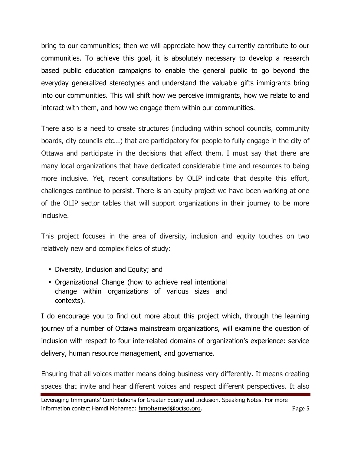bring to our communities; then we will appreciate how they currently contribute to our communities. To achieve this goal, it is absolutely necessary to develop a research based public education campaigns to enable the general public to go beyond the everyday generalized stereotypes and understand the valuable gifts immigrants bring into our communities. This will shift how we perceive immigrants, how we relate to and interact with them, and how we engage them within our communities.

There also is a need to create structures (including within school councils, community boards, city councils etc...) that are participatory for people to fully engage in the city of Ottawa and participate in the decisions that affect them. I must say that there are many local organizations that have dedicated considerable time and resources to being more inclusive. Yet, recent consultations by OLIP indicate that despite this effort, challenges continue to persist. There is an equity project we have been working at one of the OLIP sector tables that will support organizations in their journey to be more inclusive.

This project focuses in the area of diversity, inclusion and equity touches on two relatively new and complex fields of study:

- Diversity, Inclusion and Equity; and
- Organizational Change (how to achieve real intentional change within organizations of various sizes and contexts).

I do encourage you to find out more about this project which, through the learning journey of a number of Ottawa mainstream organizations, will examine the question of inclusion with respect to four interrelated domains of organization's experience: service delivery, human resource management, and governance.

Ensuring that all voices matter means doing business very differently. It means creating spaces that invite and hear different voices and respect different perspectives. It also

Leveraging Immigrants' Contributions for Greater Equity and Inclusion. Speaking Notes. For more information contact Hamdi Mohamed: hmohamed@ociso.org. example a second page 5